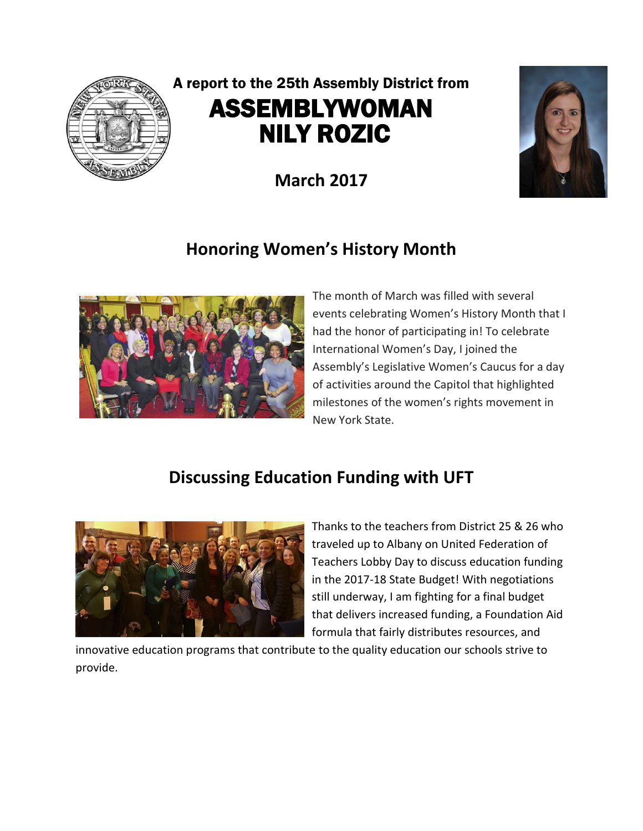

# A report to the 25th Assembly District from ASSEMBLYWOMAN NILY ROZIC

**March 2017**



## **Honoring Women's History Month**



The month of March was filled with several events celebrating Women's History Month that I had the honor of participating in! To celebrate International Women's Day, I joined the Assembly's Legislative Women's Caucus for a day of activities around the Capitol that highlighted milestones of the women's rights movement in New York State.

### **Discussing Education Funding with UFT**



Thanks to the teachers from District 25 & 26 who traveled up to Albany on United Federation of Teachers Lobby Day to discuss education funding in the 2017-18 State Budget! With negotiations still underway, I am fighting for a final budget that delivers increased funding, a Foundation Aid formula that fairly distributes resources, and

innovative education programs that contribute to the quality education our schools strive to provide.